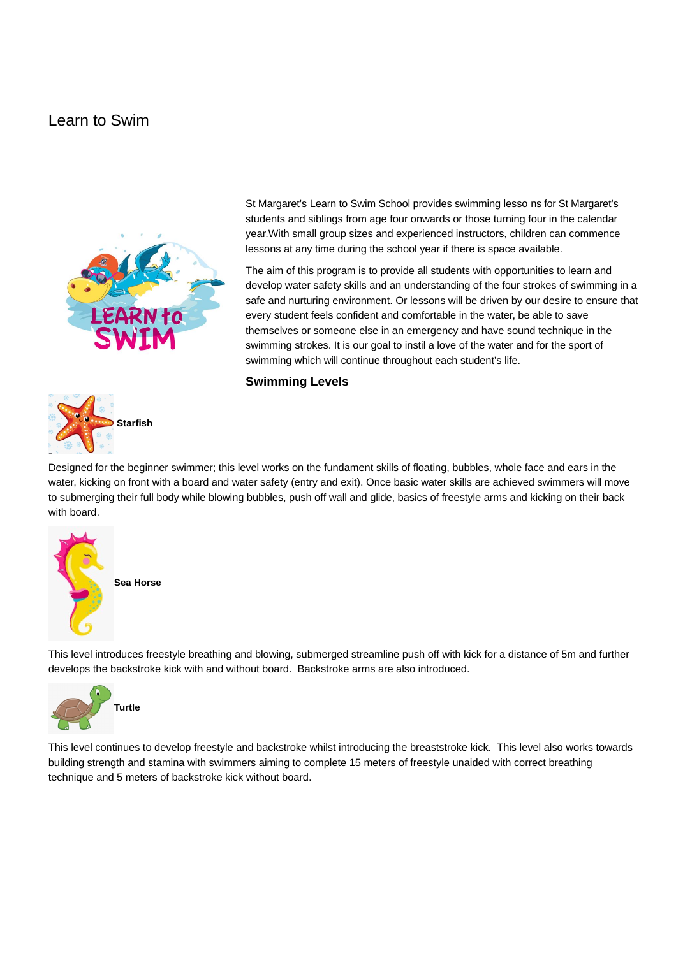# Learn to Swim





St Margaret's Learn to Swim School provides swimming lesso ns for St Margaret's students and siblings from age four onwards or those turning four in the calendar year.With small group sizes and experienced instructors, children can commence lessons at any time during the school year if there is space available.

The aim of this program is to provide all students with opportunities to learn and develop water safety skills and an understanding of the four strokes of swimming in a safe and nurturing environment. Or lessons will be driven by our desire to ensure that every student feels confident and comfortable in the water, be able to save themselves or someone else in an emergency and have sound technique in the swimming strokes. It is our goal to instil a love of the water and for the sport of swimming which will continue throughout each student's life.

### **Swimming Levels**

Designed for the beginner swimmer; this level works on the fundament skills of floating, bubbles, whole face and ears in the water, kicking on front with a board and water safety (entry and exit). Once basic water skills are achieved swimmers will move to submerging their full body while blowing bubbles, push off wall and glide, basics of freestyle arms and kicking on their back with board.



This level introduces freestyle breathing and blowing, submerged streamline push off with kick for a distance of 5m and further develops the backstroke kick with and without board. Backstroke arms are also introduced.



This level continues to develop freestyle and backstroke whilst introducing the breaststroke kick. This level also works towards building strength and stamina with swimmers aiming to complete 15 meters of freestyle unaided with correct breathing technique and 5 meters of backstroke kick without board.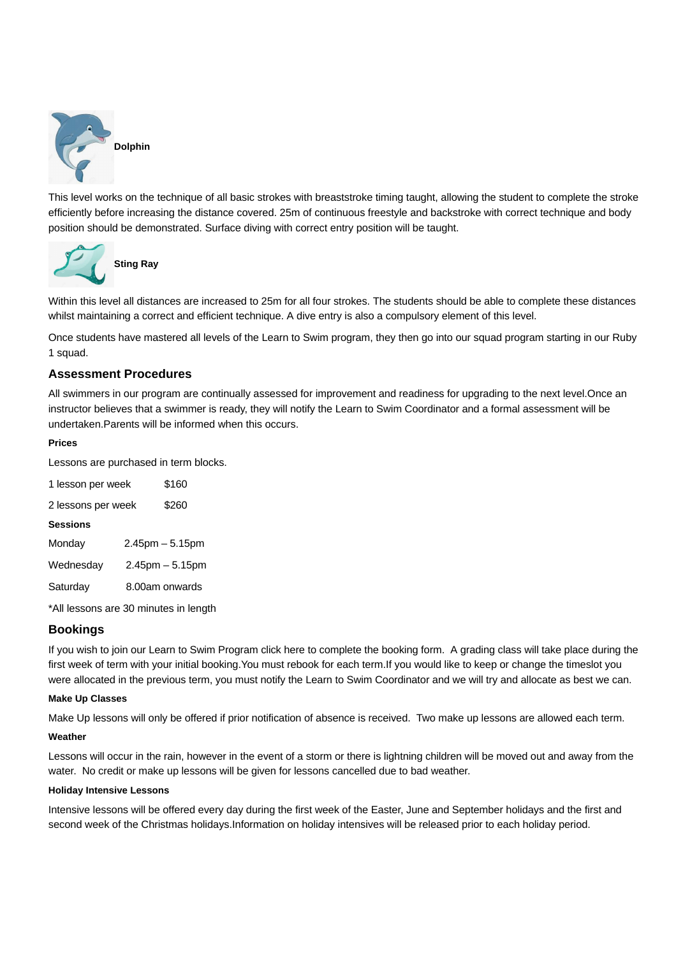

This level works on the technique of all basic strokes with breaststroke timing taught, allowing the student to complete the stroke efficiently before increasing the distance covered. 25m of continuous freestyle and backstroke with correct technique and body position should be demonstrated. Surface diving with correct entry position will be taught.



Within this level all distances are increased to 25m for all four strokes. The students should be able to complete these distances whilst maintaining a correct and efficient technique. A dive entry is also a compulsory element of this level.

Once students have mastered all levels of the Learn to Swim program, they then go into our squad program starting in our Ruby 1 squad.

## **Assessment Procedures**

All swimmers in our program are continually assessed for improvement and readiness for upgrading to the next level.Once an instructor believes that a swimmer is ready, they will notify the Learn to Swim Coordinator and a formal assessment will be undertaken.Parents will be informed when this occurs.

#### **Prices**

Lessons are purchased in term blocks.

| 1 lesson per week  |  | \$160                |
|--------------------|--|----------------------|
| 2 lessons per week |  | \$260                |
| <b>Sessions</b>    |  |                      |
| Monday             |  | $2.45$ pm $-5.15$ pm |
| Wednesday          |  | $2.45$ pm $-5.15$ pm |
| Saturday           |  | 8.00am onwards       |
|                    |  |                      |

\*All lessons are 30 minutes in length

## **Bookings**

If you wish to join our Learn to Swim Program click here to complete the booking form. A grading class will take place during the first week of term with your initial booking.You must rebook for each term.If you would like to keep or change the timeslot you were allocated in the previous term, you must notify the Learn to Swim Coordinator and we will try and allocate as best we can.

### **Make Up Classes**

Make Up lessons will only be offered if prior notification of absence is received. Two make up lessons are allowed each term.

#### **Weather**

Lessons will occur in the rain, however in the event of a storm or there is lightning children will be moved out and away from the water. No credit or make up lessons will be given for lessons cancelled due to bad weather.

### **Holiday Intensive Lessons**

Intensive lessons will be offered every day during the first week of the Easter, June and September holidays and the first and second week of the Christmas holidays.Information on holiday intensives will be released prior to each holiday period.